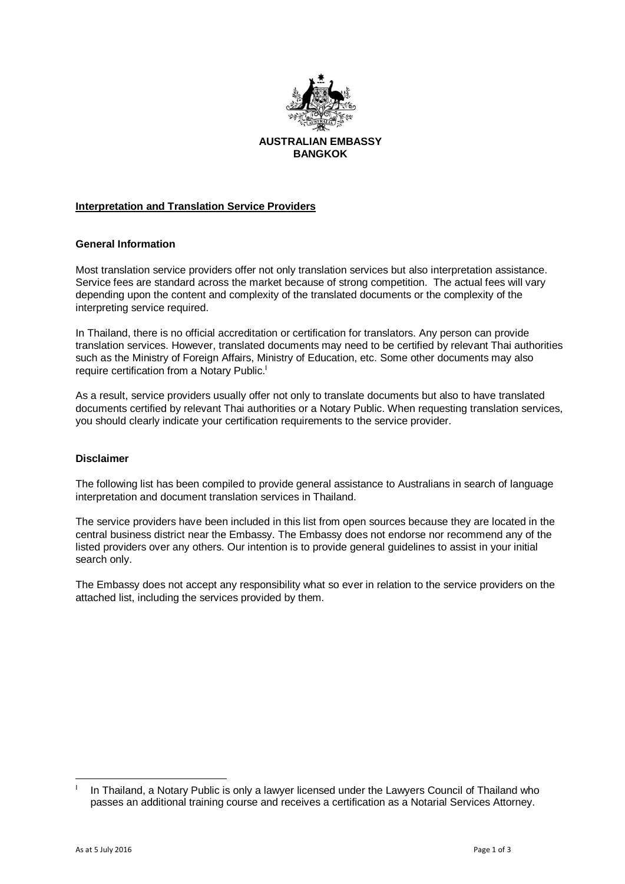

**BANGKOK**

# **Interpretation and Translation Service Providers**

#### **General Information**

Most translation service providers offer not only translation services but also interpretation assistance. Service fees are standard across the market because of strong competition. The actual fees will vary depending upon the content and complexity of the translated documents or the complexity of the interpreting service required.

In Thailand, there is no official accreditation or certification for translators. Any person can provide translation services. However, translated documents may need to be certified by relevant Thai authorities such as the Ministry of Foreign Affairs, Ministry of Education, etc. Some other documents may also require certification from a Notary Public.

As a result, service providers usually offer not only to translate documents but also to have translated documents certified by relevant Thai authorities or a Notary Public. When requesting translation services, you should clearly indicate your certification requirements to the service provider.

#### **Disclaimer**

The following list has been compiled to provide general assistance to Australians in search of language interpretation and document translation services in Thailand.

The service providers have been included in this list from open sources because they are located in the central business district near the Embassy. The Embassy does not endorse nor recommend any of the listed providers over any others. Our intention is to provide general guidelines to assist in your initial search only.

The Embassy does not accept any responsibility what so ever in relation to the service providers on the attached list, including the services provided by them.

<sup>&</sup>lt;u>.</u> I In Thailand, a Notary Public is only a lawyer licensed under the Lawyers Council of Thailand who passes an additional training course and receives a certification as a Notarial Services Attorney.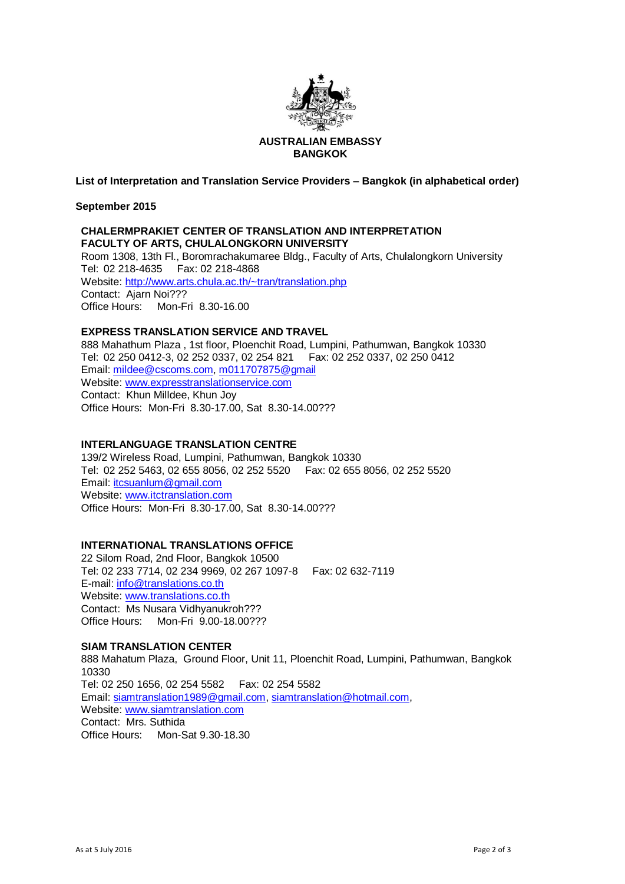

# **AUSTRALIAN EMBASSY BANGKOK**

**List of Interpretation and Translation Service Providers – Bangkok (in alphabetical order)**

**September 2015**

## **CHALERMPRAKIET CENTER OF TRANSLATION AND INTERPRETATION FACULTY OF ARTS, CHULALONGKORN UNIVERSITY**

Room 1308, 13th Fl., Boromrachakumaree Bldg., Faculty of Arts, Chulalongkorn University Tel: 02 218-4635 Fax: 02 218-4868 Website:<http://www.arts.chula.ac.th/~tran/translation.php> Contact: Ajarn Noi??? Office Hours: Mon-Fri 8.30-16.00

### **EXPRESS TRANSLATION SERVICE AND TRAVEL**

888 Mahathum Plaza , 1st floor, Ploenchit Road, Lumpini, Pathumwan, Bangkok 10330 Tel: 02 250 0412-3, 02 252 0337, 02 254 821 Fax: 02 252 0337, 02 250 0412 Email: [mildee@cscoms.com, m011707875@gmail](mailto:mildee@cscoms.com) Website: [www.expresstranslationservice.com](http://www.expresstranslationservice.com/) Contact: Khun Milldee, Khun Joy Office Hours: Mon-Fri 8.30-17.00, Sat 8.30-14.00???

## **INTERLANGUAGE TRANSLATION CENTRE**

139/2 Wireless Road, Lumpini, Pathumwan, Bangkok 10330 Tel: 02 252 5463, 02 655 8056, 02 252 5520 Fax: 02 655 8056, 02 252 5520 Email: [itcsuanlum@gmail.com](mailto:itcsuanlum@gmail.com) Website: [www.itctranslation.com](http://www.itctranslation.com/) Office Hours: Mon-Fri 8.30-17.00, Sat 8.30-14.00???

### **INTERNATIONAL TRANSLATIONS OFFICE**

22 Silom Road, 2nd Floor, Bangkok 10500 Tel: 02 233 7714, 02 234 9969, 02 267 1097-8 Fax: 02 632-7119 E-mail: [info@translations.co.th](mailto:info@translations.co.th) Website: [www.translations.co.th](http://www.translations.co.th/) Contact: Ms Nusara Vidhyanukroh??? Office Hours: Mon-Fri 9.00-18.00???

### **SIAM TRANSLATION CENTER**

888 Mahatum Plaza, Ground Floor, Unit 11, Ploenchit Road, Lumpini, Pathumwan, Bangkok 10330 Tel: 02 250 1656, 02 254 5582 Fax: 02 254 5582 Email: [siamtranslation1989@gmail.com,](mailto:siamtranslation1989@gmail.com) [siamtranslation@hotmail.com,](mailto:siamtranslation@hotmail.com) Website: [www.siamtranslation.com](http://www.siamtranslation.com/) Contact: Mrs. Suthida Office Hours: Mon-Sat 9.30-18.30